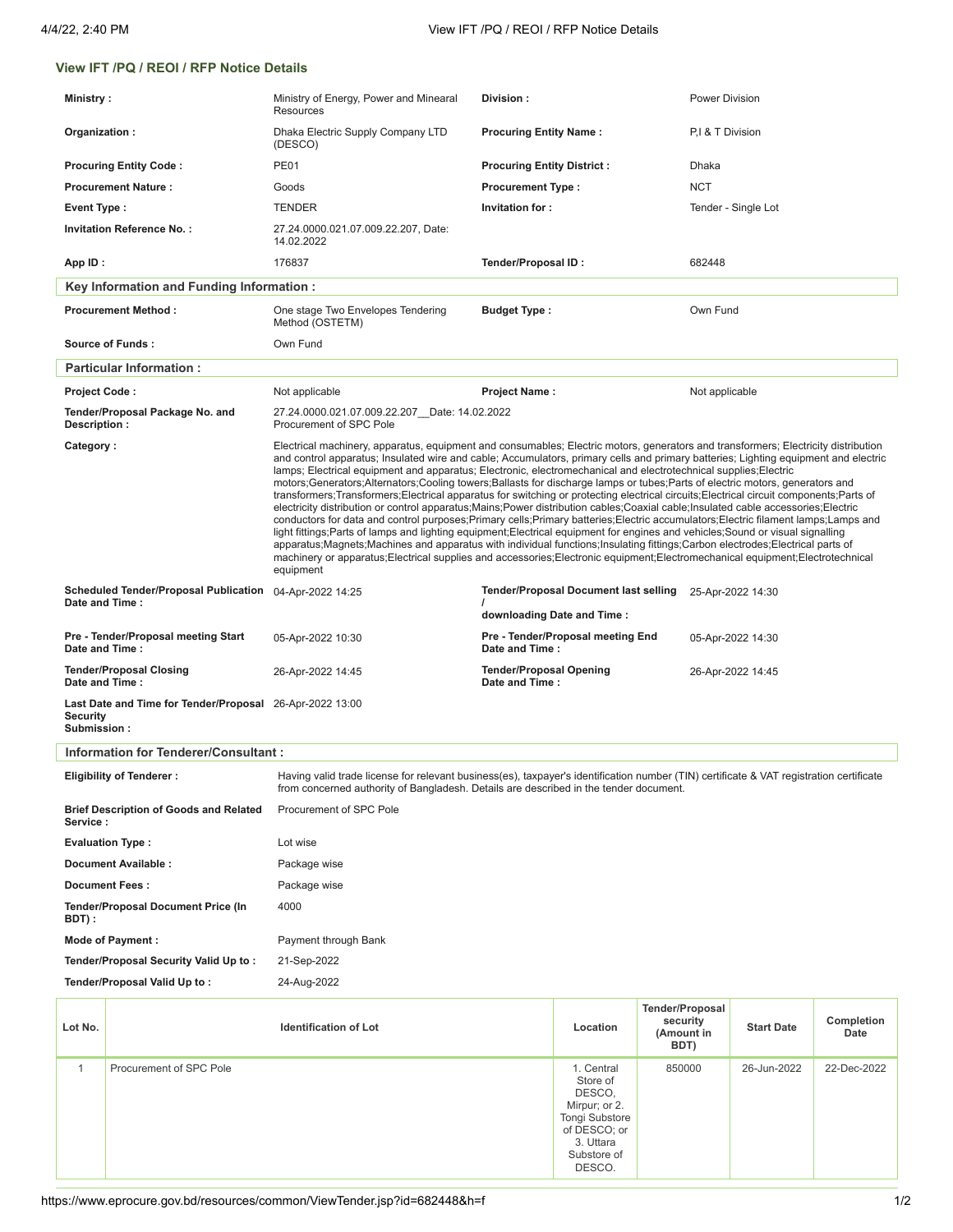## **View IFT /PQ / REOI / RFP Notice Details**

| <b>Ministry:</b>                                                                                                                                                                                                                                                    |                                                                                                                                                                                                                                                                                                                                                                                                                                                                                                                                                                                                                                                                                                                                                                                                                                                                                                                                                                                                                                                                                                                                                                                                                                                                                                                                                                                  | Ministry of Energy, Power and Minearal<br>Resources                         | Division:                                                                  |                                                                                                                                  |                                                          | Power Division      |                    |  |
|---------------------------------------------------------------------------------------------------------------------------------------------------------------------------------------------------------------------------------------------------------------------|----------------------------------------------------------------------------------------------------------------------------------------------------------------------------------------------------------------------------------------------------------------------------------------------------------------------------------------------------------------------------------------------------------------------------------------------------------------------------------------------------------------------------------------------------------------------------------------------------------------------------------------------------------------------------------------------------------------------------------------------------------------------------------------------------------------------------------------------------------------------------------------------------------------------------------------------------------------------------------------------------------------------------------------------------------------------------------------------------------------------------------------------------------------------------------------------------------------------------------------------------------------------------------------------------------------------------------------------------------------------------------|-----------------------------------------------------------------------------|----------------------------------------------------------------------------|----------------------------------------------------------------------------------------------------------------------------------|----------------------------------------------------------|---------------------|--------------------|--|
| Organization:                                                                                                                                                                                                                                                       |                                                                                                                                                                                                                                                                                                                                                                                                                                                                                                                                                                                                                                                                                                                                                                                                                                                                                                                                                                                                                                                                                                                                                                                                                                                                                                                                                                                  | Dhaka Electric Supply Company LTD<br>(DESCO)                                | <b>Procuring Entity Name:</b>                                              |                                                                                                                                  |                                                          | P.I & T Division    |                    |  |
| <b>Procuring Entity Code:</b>                                                                                                                                                                                                                                       |                                                                                                                                                                                                                                                                                                                                                                                                                                                                                                                                                                                                                                                                                                                                                                                                                                                                                                                                                                                                                                                                                                                                                                                                                                                                                                                                                                                  | <b>PE01</b>                                                                 | <b>Procuring Entity District:</b>                                          |                                                                                                                                  | <b>Dhaka</b>                                             |                     |                    |  |
| <b>Procurement Nature:</b>                                                                                                                                                                                                                                          |                                                                                                                                                                                                                                                                                                                                                                                                                                                                                                                                                                                                                                                                                                                                                                                                                                                                                                                                                                                                                                                                                                                                                                                                                                                                                                                                                                                  | Goods                                                                       | <b>Procurement Type:</b>                                                   |                                                                                                                                  | <b>NCT</b>                                               |                     |                    |  |
| Event Type:                                                                                                                                                                                                                                                         |                                                                                                                                                                                                                                                                                                                                                                                                                                                                                                                                                                                                                                                                                                                                                                                                                                                                                                                                                                                                                                                                                                                                                                                                                                                                                                                                                                                  | <b>TENDER</b>                                                               | Invitation for:                                                            |                                                                                                                                  |                                                          | Tender - Single Lot |                    |  |
| <b>Invitation Reference No.:</b>                                                                                                                                                                                                                                    |                                                                                                                                                                                                                                                                                                                                                                                                                                                                                                                                                                                                                                                                                                                                                                                                                                                                                                                                                                                                                                                                                                                                                                                                                                                                                                                                                                                  | 27.24.0000.021.07.009.22.207, Date:<br>14.02.2022                           |                                                                            |                                                                                                                                  |                                                          |                     |                    |  |
| App ID:                                                                                                                                                                                                                                                             |                                                                                                                                                                                                                                                                                                                                                                                                                                                                                                                                                                                                                                                                                                                                                                                                                                                                                                                                                                                                                                                                                                                                                                                                                                                                                                                                                                                  | 176837                                                                      | Tender/Proposal ID:                                                        |                                                                                                                                  | 682448                                                   |                     |                    |  |
|                                                                                                                                                                                                                                                                     | Key Information and Funding Information :                                                                                                                                                                                                                                                                                                                                                                                                                                                                                                                                                                                                                                                                                                                                                                                                                                                                                                                                                                                                                                                                                                                                                                                                                                                                                                                                        |                                                                             |                                                                            |                                                                                                                                  |                                                          |                     |                    |  |
| <b>Procurement Method:</b>                                                                                                                                                                                                                                          |                                                                                                                                                                                                                                                                                                                                                                                                                                                                                                                                                                                                                                                                                                                                                                                                                                                                                                                                                                                                                                                                                                                                                                                                                                                                                                                                                                                  | One stage Two Envelopes Tendering<br><b>Budget Type:</b><br>Method (OSTETM) |                                                                            |                                                                                                                                  | Own Fund                                                 |                     |                    |  |
| <b>Source of Funds:</b>                                                                                                                                                                                                                                             |                                                                                                                                                                                                                                                                                                                                                                                                                                                                                                                                                                                                                                                                                                                                                                                                                                                                                                                                                                                                                                                                                                                                                                                                                                                                                                                                                                                  | Own Fund                                                                    |                                                                            |                                                                                                                                  |                                                          |                     |                    |  |
|                                                                                                                                                                                                                                                                     | <b>Particular Information:</b>                                                                                                                                                                                                                                                                                                                                                                                                                                                                                                                                                                                                                                                                                                                                                                                                                                                                                                                                                                                                                                                                                                                                                                                                                                                                                                                                                   |                                                                             |                                                                            |                                                                                                                                  |                                                          |                     |                    |  |
| Project Code:                                                                                                                                                                                                                                                       |                                                                                                                                                                                                                                                                                                                                                                                                                                                                                                                                                                                                                                                                                                                                                                                                                                                                                                                                                                                                                                                                                                                                                                                                                                                                                                                                                                                  | Not applicable                                                              | <b>Project Name:</b>                                                       |                                                                                                                                  |                                                          | Not applicable      |                    |  |
| Description :                                                                                                                                                                                                                                                       | Tender/Proposal Package No. and                                                                                                                                                                                                                                                                                                                                                                                                                                                                                                                                                                                                                                                                                                                                                                                                                                                                                                                                                                                                                                                                                                                                                                                                                                                                                                                                                  | 27.24.0000.021.07.009.22.207 Date: 14.02.2022<br>Procurement of SPC Pole    |                                                                            |                                                                                                                                  |                                                          |                     |                    |  |
| Category:                                                                                                                                                                                                                                                           | Electrical machinery, apparatus, equipment and consumables; Electric motors, generators and transformers; Electricity distribution<br>and control apparatus; Insulated wire and cable; Accumulators, primary cells and primary batteries; Lighting equipment and electric<br>lamps; Electrical equipment and apparatus; Electronic, electromechanical and electrotechnical supplies; Electric<br>motors;Generators;Alternators;Cooling towers;Ballasts for discharge lamps or tubes;Parts of electric motors, generators and<br>transformers; Transformers; Electrical apparatus for switching or protecting electrical circuits; Electrical circuit components; Parts of<br>electricity distribution or control apparatus; Mains; Power distribution cables; Coaxial cable; Insulated cable accessories; Electric<br>conductors for data and control purposes;Primary cells;Primary batteries;Electric accumulators;Electric filament lamps;Lamps and<br>light fittings; Parts of lamps and lighting equipment; Electrical equipment for engines and vehicles; Sound or visual signalling<br>apparatus; Magnets; Machines and apparatus with individual functions; Insulating fittings; Carbon electrodes; Electrical parts of<br>machinery or apparatus; Electrical supplies and accessories; Electronic equipment; Electromechanical equipment; Electrotechnical<br>equipment |                                                                             |                                                                            |                                                                                                                                  |                                                          |                     |                    |  |
| Scheduled Tender/Proposal Publication 04-Apr-2022 14:25<br>Date and Time:                                                                                                                                                                                           |                                                                                                                                                                                                                                                                                                                                                                                                                                                                                                                                                                                                                                                                                                                                                                                                                                                                                                                                                                                                                                                                                                                                                                                                                                                                                                                                                                                  |                                                                             | <b>Tender/Proposal Document last selling</b><br>downloading Date and Time: |                                                                                                                                  |                                                          | 25-Apr-2022 14:30   |                    |  |
| <b>Pre - Tender/Proposal meeting Start</b><br>Date and Time:                                                                                                                                                                                                        |                                                                                                                                                                                                                                                                                                                                                                                                                                                                                                                                                                                                                                                                                                                                                                                                                                                                                                                                                                                                                                                                                                                                                                                                                                                                                                                                                                                  | 05-Apr-2022 10:30                                                           | Pre - Tender/Proposal meeting End<br>Date and Time:                        |                                                                                                                                  |                                                          | 05-Apr-2022 14:30   |                    |  |
| <b>Tender/Proposal Closing</b><br>Date and Time:                                                                                                                                                                                                                    |                                                                                                                                                                                                                                                                                                                                                                                                                                                                                                                                                                                                                                                                                                                                                                                                                                                                                                                                                                                                                                                                                                                                                                                                                                                                                                                                                                                  | 26-Apr-2022 14:45                                                           | <b>Tender/Proposal Opening</b><br>Date and Time:                           |                                                                                                                                  |                                                          | 26-Apr-2022 14:45   |                    |  |
| Last Date and Time for Tender/Proposal 26-Apr-2022 13:00<br><b>Security</b><br>Submission:                                                                                                                                                                          |                                                                                                                                                                                                                                                                                                                                                                                                                                                                                                                                                                                                                                                                                                                                                                                                                                                                                                                                                                                                                                                                                                                                                                                                                                                                                                                                                                                  |                                                                             |                                                                            |                                                                                                                                  |                                                          |                     |                    |  |
|                                                                                                                                                                                                                                                                     | Information for Tenderer/Consultant:                                                                                                                                                                                                                                                                                                                                                                                                                                                                                                                                                                                                                                                                                                                                                                                                                                                                                                                                                                                                                                                                                                                                                                                                                                                                                                                                             |                                                                             |                                                                            |                                                                                                                                  |                                                          |                     |                    |  |
| Having valid trade license for relevant business(es), taxpayer's identification number (TIN) certificate & VAT registration certificate<br><b>Eligibility of Tenderer:</b><br>from concerned authority of Bangladesh. Details are described in the tender document. |                                                                                                                                                                                                                                                                                                                                                                                                                                                                                                                                                                                                                                                                                                                                                                                                                                                                                                                                                                                                                                                                                                                                                                                                                                                                                                                                                                                  |                                                                             |                                                                            |                                                                                                                                  |                                                          |                     |                    |  |
| <b>Brief Description of Goods and Related</b><br>Service :                                                                                                                                                                                                          |                                                                                                                                                                                                                                                                                                                                                                                                                                                                                                                                                                                                                                                                                                                                                                                                                                                                                                                                                                                                                                                                                                                                                                                                                                                                                                                                                                                  | Procurement of SPC Pole                                                     |                                                                            |                                                                                                                                  |                                                          |                     |                    |  |
|                                                                                                                                                                                                                                                                     | <b>Evaluation Type:</b>                                                                                                                                                                                                                                                                                                                                                                                                                                                                                                                                                                                                                                                                                                                                                                                                                                                                                                                                                                                                                                                                                                                                                                                                                                                                                                                                                          | Lot wise                                                                    |                                                                            |                                                                                                                                  |                                                          |                     |                    |  |
| Document Available :                                                                                                                                                                                                                                                |                                                                                                                                                                                                                                                                                                                                                                                                                                                                                                                                                                                                                                                                                                                                                                                                                                                                                                                                                                                                                                                                                                                                                                                                                                                                                                                                                                                  | Package wise                                                                |                                                                            |                                                                                                                                  |                                                          |                     |                    |  |
| <b>Document Fees:</b>                                                                                                                                                                                                                                               |                                                                                                                                                                                                                                                                                                                                                                                                                                                                                                                                                                                                                                                                                                                                                                                                                                                                                                                                                                                                                                                                                                                                                                                                                                                                                                                                                                                  | Package wise                                                                |                                                                            |                                                                                                                                  |                                                          |                     |                    |  |
| <b>Tender/Proposal Document Price (In</b><br>BDT) :                                                                                                                                                                                                                 |                                                                                                                                                                                                                                                                                                                                                                                                                                                                                                                                                                                                                                                                                                                                                                                                                                                                                                                                                                                                                                                                                                                                                                                                                                                                                                                                                                                  | 4000                                                                        |                                                                            |                                                                                                                                  |                                                          |                     |                    |  |
| Mode of Payment :                                                                                                                                                                                                                                                   |                                                                                                                                                                                                                                                                                                                                                                                                                                                                                                                                                                                                                                                                                                                                                                                                                                                                                                                                                                                                                                                                                                                                                                                                                                                                                                                                                                                  | Payment through Bank                                                        |                                                                            |                                                                                                                                  |                                                          |                     |                    |  |
| Tender/Proposal Security Valid Up to:                                                                                                                                                                                                                               |                                                                                                                                                                                                                                                                                                                                                                                                                                                                                                                                                                                                                                                                                                                                                                                                                                                                                                                                                                                                                                                                                                                                                                                                                                                                                                                                                                                  | 21-Sep-2022                                                                 |                                                                            |                                                                                                                                  |                                                          |                     |                    |  |
| Tender/Proposal Valid Up to:                                                                                                                                                                                                                                        |                                                                                                                                                                                                                                                                                                                                                                                                                                                                                                                                                                                                                                                                                                                                                                                                                                                                                                                                                                                                                                                                                                                                                                                                                                                                                                                                                                                  | 24-Aug-2022                                                                 |                                                                            |                                                                                                                                  |                                                          |                     |                    |  |
| Lot No.                                                                                                                                                                                                                                                             |                                                                                                                                                                                                                                                                                                                                                                                                                                                                                                                                                                                                                                                                                                                                                                                                                                                                                                                                                                                                                                                                                                                                                                                                                                                                                                                                                                                  | <b>Identification of Lot</b>                                                |                                                                            | Location                                                                                                                         | <b>Tender/Proposal</b><br>security<br>(Amount in<br>BDT) | <b>Start Date</b>   | Completion<br>Date |  |
| 1                                                                                                                                                                                                                                                                   | Procurement of SPC Pole                                                                                                                                                                                                                                                                                                                                                                                                                                                                                                                                                                                                                                                                                                                                                                                                                                                                                                                                                                                                                                                                                                                                                                                                                                                                                                                                                          |                                                                             |                                                                            | 1. Central<br>Store of<br>DESCO,<br>Mirpur; or 2.<br><b>Tongi Substore</b><br>of DESCO; or<br>3. Uttara<br>Substore of<br>DESCO. | 850000                                                   | 26-Jun-2022         | 22-Dec-2022        |  |